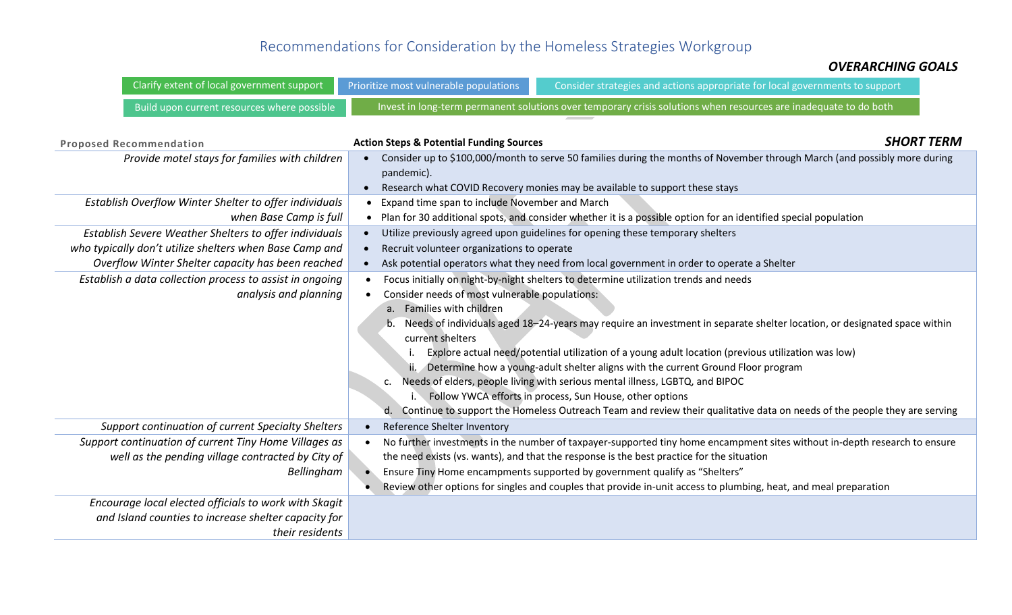## Recommendations for Consideration by the Homeless Strategies Workgroup

## *OVERARCHING GOALS*

| Clarify extent of local government support                                                                                                                             | Prioritize most vulnerable populations                                                                                                                                                                                                                                                                                                                                                                                                                                                                                                                                                                                                                                                                                                                                                                               | Consider strategies and actions appropriate for local governments to support                                                                                                                                                                                                                                                                                                                                             |  |
|------------------------------------------------------------------------------------------------------------------------------------------------------------------------|----------------------------------------------------------------------------------------------------------------------------------------------------------------------------------------------------------------------------------------------------------------------------------------------------------------------------------------------------------------------------------------------------------------------------------------------------------------------------------------------------------------------------------------------------------------------------------------------------------------------------------------------------------------------------------------------------------------------------------------------------------------------------------------------------------------------|--------------------------------------------------------------------------------------------------------------------------------------------------------------------------------------------------------------------------------------------------------------------------------------------------------------------------------------------------------------------------------------------------------------------------|--|
| Build upon current resources where possible                                                                                                                            | Invest in long-term permanent solutions over temporary crisis solutions when resources are inadequate to do both                                                                                                                                                                                                                                                                                                                                                                                                                                                                                                                                                                                                                                                                                                     |                                                                                                                                                                                                                                                                                                                                                                                                                          |  |
| <b>Proposed Recommendation</b><br>Provide motel stays for families with children<br>Establish Overflow Winter Shelter to offer individuals                             | <b>SHORT TERM</b><br><b>Action Steps &amp; Potential Funding Sources</b><br>Consider up to \$100,000/month to serve 50 families during the months of November through March (and possibly more during<br>pandemic).<br>Research what COVID Recovery monies may be available to support these stays<br>Expand time span to include November and March                                                                                                                                                                                                                                                                                                                                                                                                                                                                 |                                                                                                                                                                                                                                                                                                                                                                                                                          |  |
| when Base Camp is full                                                                                                                                                 | Plan for 30 additional spots, and consider whether it is a possible option for an identified special population                                                                                                                                                                                                                                                                                                                                                                                                                                                                                                                                                                                                                                                                                                      |                                                                                                                                                                                                                                                                                                                                                                                                                          |  |
| Establish Severe Weather Shelters to offer individuals<br>who typically don't utilize shelters when Base Camp and<br>Overflow Winter Shelter capacity has been reached | Utilize previously agreed upon guidelines for opening these temporary shelters<br>Recruit volunteer organizations to operate<br>Ask potential operators what they need from local government in order to operate a Shelter                                                                                                                                                                                                                                                                                                                                                                                                                                                                                                                                                                                           |                                                                                                                                                                                                                                                                                                                                                                                                                          |  |
| Establish a data collection process to assist in ongoing<br>analysis and planning                                                                                      | Focus initially on night-by-night shelters to determine utilization trends and needs<br>Consider needs of most vulnerable populations:<br>a. Families with children<br>Needs of individuals aged 18-24-years may require an investment in separate shelter location, or designated space within<br>current shelters<br>Explore actual need/potential utilization of a young adult location (previous utilization was low)<br>ii. Determine how a young-adult shelter aligns with the current Ground Floor program<br>Needs of elders, people living with serious mental illness, LGBTQ, and BIPOC<br>$\mathsf{C}$ .<br>i. Follow YWCA efforts in process, Sun House, other options<br>Continue to support the Homeless Outreach Team and review their qualitative data on needs of the people they are serving<br>d. |                                                                                                                                                                                                                                                                                                                                                                                                                          |  |
| Support continuation of current Specialty Shelters                                                                                                                     | Reference Shelter Inventory                                                                                                                                                                                                                                                                                                                                                                                                                                                                                                                                                                                                                                                                                                                                                                                          |                                                                                                                                                                                                                                                                                                                                                                                                                          |  |
| Support continuation of current Tiny Home Villages as<br>well as the pending village contracted by City of<br>Bellingham                                               |                                                                                                                                                                                                                                                                                                                                                                                                                                                                                                                                                                                                                                                                                                                                                                                                                      | No further investments in the number of taxpayer-supported tiny home encampment sites without in-depth research to ensure<br>the need exists (vs. wants), and that the response is the best practice for the situation<br>Ensure Tiny Home encampments supported by government qualify as "Shelters"<br>Review other options for singles and couples that provide in-unit access to plumbing, heat, and meal preparation |  |
| Encourage local elected officials to work with Skagit<br>and Island counties to increase shelter capacity for<br>their residents                                       |                                                                                                                                                                                                                                                                                                                                                                                                                                                                                                                                                                                                                                                                                                                                                                                                                      |                                                                                                                                                                                                                                                                                                                                                                                                                          |  |